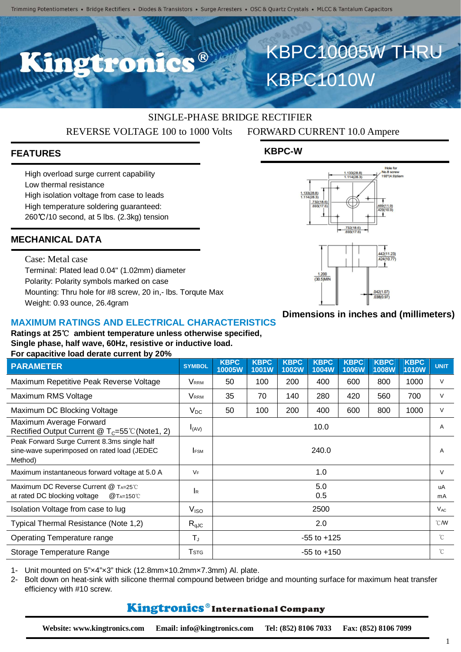$\bullet$   $\circledR$ 

# SINGLE-PHASE BRIDGE RECTIFIER REVERSE VOLTAGE 100 to 1000 Volts FORWARD CURRENT 10.0 Ampere

## **FEATURES**

High overload surge current capability Low thermal resistance High isolation voltage from case to leads High temperature soldering guaranteed: 260℃/10 second, at 5 lbs. (2.3kg) tension

## **MECHANICAL DATA**

Case: Metal case Terminal: Plated lead 0.04" (1.02mm) diameter Polarity: Polarity symbols marked on case Mounting: Thru hole for #8 screw, 20 in,- lbs. Torqute Max Weight: 0.93 ounce, 26.4gram

## **KBPC-W**



KBPC10005W THRU

KBPC1010W

## **Dimensions in inches and (millimeters)**

## **MAXIMUM RATINGS AND ELECTRICAL CHARACTERISTICS**

**Ratings at 25**℃ **ambient temperature unless otherwise specified, Single phase, half wave, 60Hz, resistive or inductive load. For capacitive load derate current by 20%**

| <b>I</b> Of Capacitive IOau defait current by 2070 |                       |                      |                      |                      |                             |                             |                             |                |
|----------------------------------------------------|-----------------------|----------------------|----------------------|----------------------|-----------------------------|-----------------------------|-----------------------------|----------------|
| <b>SYMBOL</b>                                      | <b>KBPC</b><br>10005W | <b>KBPC</b><br>1001W | <b>KBPC</b><br>1002W | <b>KBPC</b><br>1004W | <b>KBPC</b><br><b>1006W</b> | <b>KBPC</b><br><b>1008W</b> | <b>KBPC</b><br><b>1010W</b> | <b>UNIT</b>    |
| <b>V</b> rrm                                       | 50                    | 100                  | 200                  | 400                  | 600                         | 800                         | 1000                        | V              |
| <b>VRRM</b>                                        | 35                    | 70                   | 140                  | 280                  | 420                         | 560                         | 700                         | V              |
| $V_{DC}$                                           | 50                    | 100                  | 200                  | 400                  | 600                         | 800                         | 1000                        | V              |
| $I_{(AV)}$                                         | 10.0                  |                      |                      |                      |                             |                             |                             | A              |
| <b>IFSM</b>                                        | 240.0                 |                      |                      |                      |                             |                             |                             | A              |
| <b>VF</b>                                          | 1.0                   |                      |                      |                      |                             |                             |                             | $\vee$         |
| <b>I</b> R                                         | 5.0<br>0.5            |                      |                      |                      |                             |                             |                             | uA<br>mA       |
| $\rm V_{ISO}$                                      | 2500                  |                      |                      |                      |                             |                             |                             | $V_{AC}$       |
| $R_{qJC}$                                          | 2.0                   |                      |                      |                      |                             |                             |                             | $^{\circ}$ CMV |
| $T_J$                                              | $-55$ to $+125$       |                      |                      |                      |                             |                             |                             | $^{\circ}$ C   |
| Tstg                                               | $-55$ to $+150$       |                      |                      |                      |                             |                             |                             | $^{\circ}$ C   |
|                                                    |                       |                      |                      |                      |                             |                             |                             |                |

1- Unit mounted on 5"×4"×3" thick (12.8mm×10.2mm×7.3mm) Al. plate.

2- Bolt down on heat-sink with silicone thermal compound between bridge and mounting surface for maximum heat transfer efficiency with #10 screw.

## **Kingtronics**®International Company

**Website: www.kingtronics.com Email: info@kingtronics.com Tel: (852) 8106 7033 Fax: (852) 8106 7099**

1